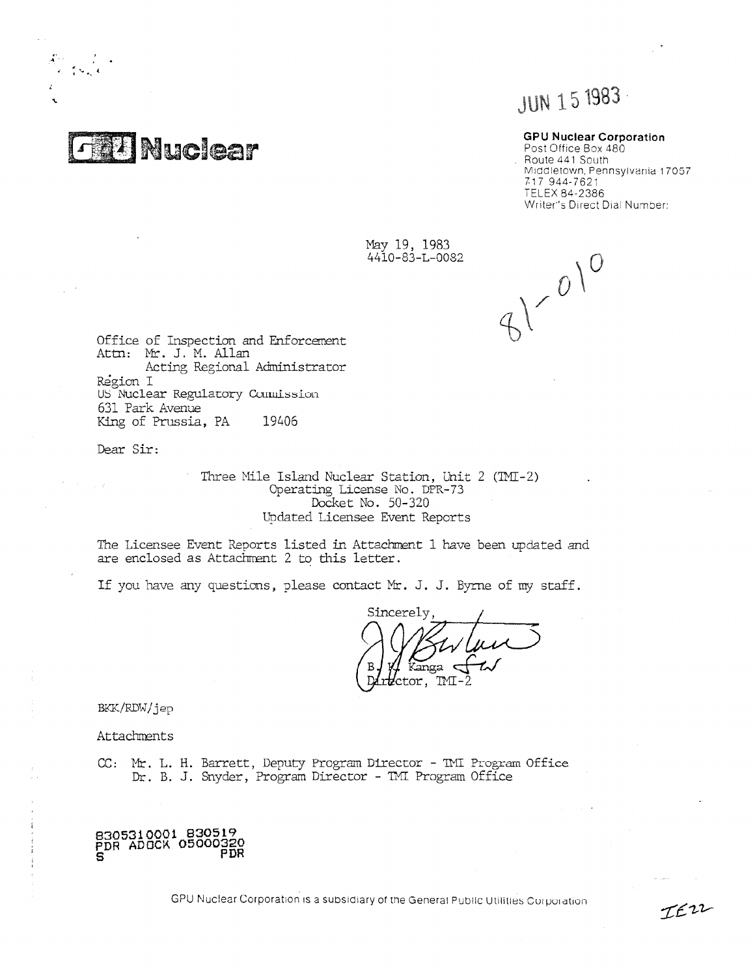$1 - 1$ Nuclear

 $\frac{1}{\epsilon}$ . folk

# JUN 15 1983

## GPU Nuclear Corporation

Post Office Box 480 Route 441 South Middletown, Pennsylvania 17057 717 944-7621 TELEX 84-2386 Writer"s Direct Dial Number:

IEZZ

May 19, 1983<br>4410-83-L-0082

 $41000$ 

Office of Inspection and Enforcement Attn: Nt. J. M. Allan Acting Regional Administrator Region I US Nuclear Regulatory Commission 631 Park Avenue King of Prussia, PA 19406

Dear Sir:

Three Mile Island Nuclear Station, Unit 2 (TMI-2) Operating License No. DPR-73 Docket No. 50-320 Updated Licensee Event Reports

The Licensee Event Reports listed in Attachment 1 have been updated and are enclosed as Attachment 2 to this letter.

If you have any questions, please contact Mr. J. J. Byrne of my staff.

Sincerely  $\tilde{1}$  m TMI 'ctor.

BKK/RDWjep

Attachments

,

,

CC: Mr. L. H. Barrett, Deputy Program Director - TMI Program Office Dr. B. J. Snyder, Program Director - TNT Program Office



GPU Nuclear Corporation is a subsidiary of the General Public Utilities Corporation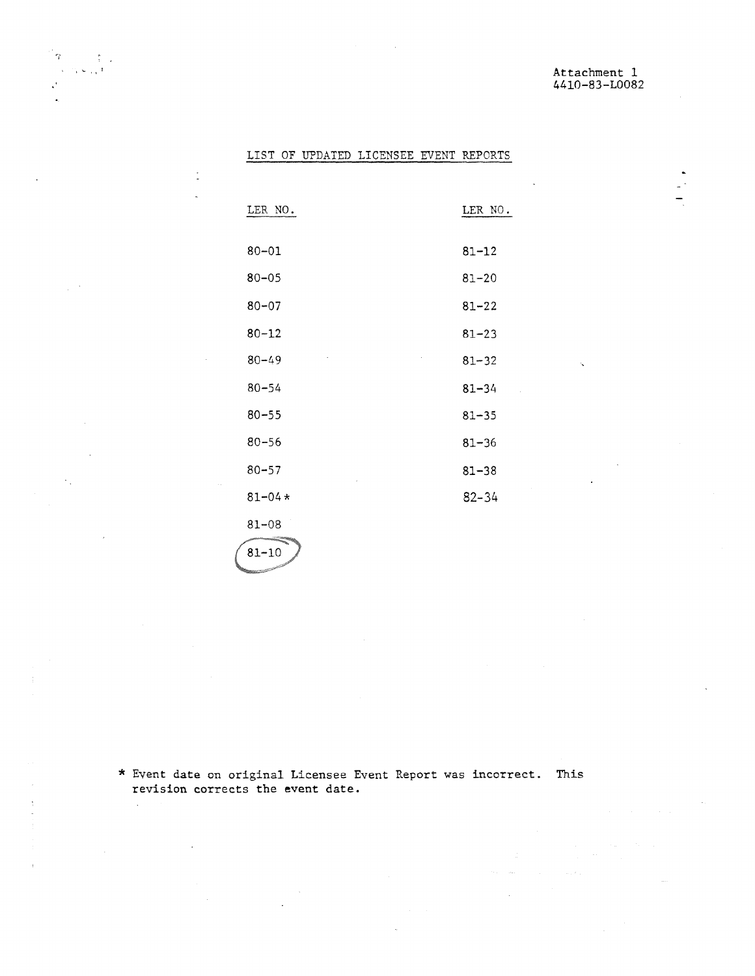$\sim$   $\sim$ 

 $\lambda$ 

\_

# LIST OF UPDATED LICENSEE EVENT REPORTS

 $\mathbb{E}_{\mathbf{q}} = \mathbb{E}_{\mathbf{q}}$ 

 $\frac{1}{2}$  ,  $\frac{1}{2}$ 

 $\gamma_{\rm{in}}$ 

 $\widetilde{\mathbb{C}}$ 

 $\bar{1}$ 

 $\mathcal{L}^{\text{max}}$ 

 $\mathcal{A}^{\mathcal{A}}$ 

 $\bar{z}$ 

 $\frac{1}{\pi}$ 

 $\mathcal{C}^{\pm}$ 

| LER NO.                                                       | LER NO.                |
|---------------------------------------------------------------|------------------------|
| $80 - 01$                                                     | $81 - 12$              |
| $80 - 05$                                                     | $81 - 20$              |
| $80 - 07$                                                     | $81 - 22$              |
| $80 - 12$                                                     | $81 - 23$              |
| $80 - 49$                                                     | $81 - 32$<br>N         |
| $80 - 54$                                                     | $81 - 34$              |
| $80 - 55$                                                     | $81 - 35$              |
| $80 - 56$                                                     | $81 - 36$              |
| $80 - 57$                                                     | $81 - 38$<br>$\bullet$ |
| $81 - 04*$                                                    | $82 - 34$              |
| $81 - 08$<br><b><i>COMPANY OF CONTRACTORY AND INCOME.</i></b> |                        |

\* Event date on original Licensee Event Report was incorrect. Thisrevision corrects the event date.

 $\sim$ 

81-10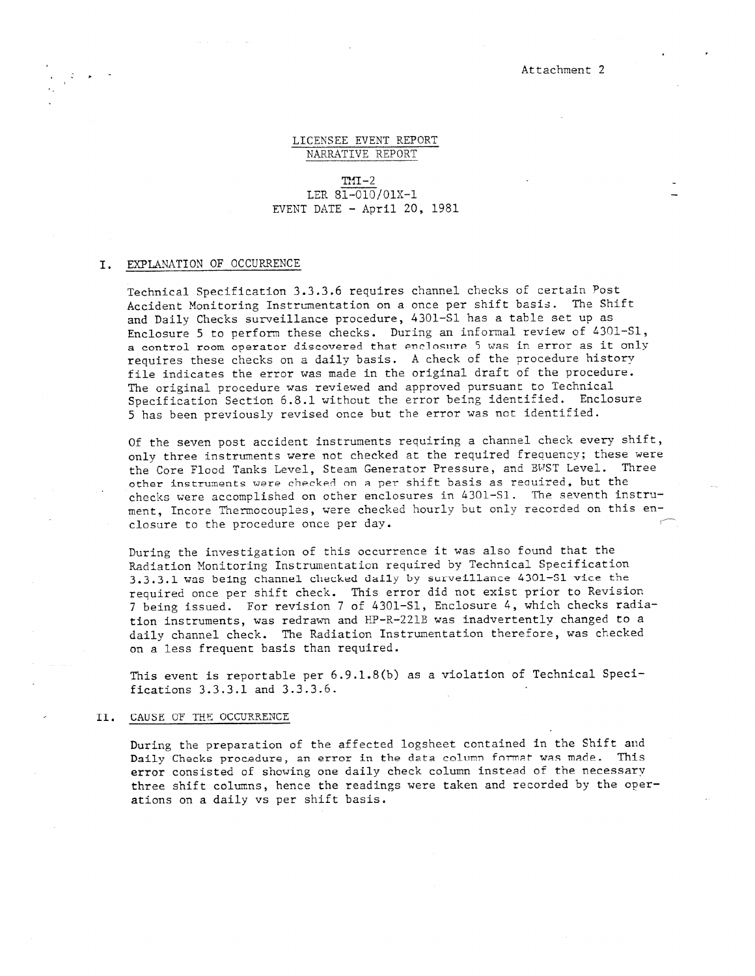#### Attachment 2

-

#### LICENSEE EVENT REPORT NARRATIVE REPORT

 $mI-2$ LER 81-010/01X-1 EVENT DATE - April 20, 1981

#### I. EXPLANATION OF OCCURRENCE

, -

Technical Specification 3.3.3.6 requires channel checks of certain Post Accident Monitoring Instrumentation on a once per shift basis. The Shift and Daily Checks surveillance procedure, 4301-S1 has a table set up as Enclosure 5 to perform these checks. During an informal review of 4301-S1, a control room operator discovered that anclosure 5 Was in error as it only requires these checks on a daily basis. A check of the procedure history file indicates the error was made in the original draft of the procedure. The original procedure was reviewed and approved pursuant to Technical Specification Section 6.8.1 without the error being identified. Enclosure 5 has been previously revised once but the error was not identified.

Of the seven post accident instruments requiring a channel check every shift, only three instruments were not checked at the required frequency; these were the Core Flood Tanks Level, Steam Generator Pressure, and BVST Level. Three other instruments were checked on a per shift basis as required, but the checks were accomplished on other enclosures in 4301-S1. The seventh instrument, Incore Thermocouples, were checked hourly but only recorded on this enclosure to the procedure once per day.

During the investigation of this occurrence it was also found that the Radiation Monitoring Instrumentation required by Technical Specification 3.3.3.1 was being channel checked daily by surveillance 4301-S1 vice the required once per shift check. This error did not exist prior to Revision 7 being issued. For revision 7 of 4301-31, Enclosure 4, which checks radiation instruments, was redrawn and HP-R-221B was inadvertently changed to a daily channel check. The Radiation Instrumentation therefore, was checked on a less frequent basis than required.

This event is reportable per 6.9.1.8(b) as a violation of Technical Specifications 3.3.3.1 and 3.3.3.6.

#### II. CAUSE OF THE OCCURRENCE

During the preparation of the affected logsheet contained in the Shift and Daily Checks procedure, an error in the data column format was made. This error consisted of showing one daily check column instead of the necessary three shift columns, hence the readings were taken and recorded by the operations on a daily vs per shift basis.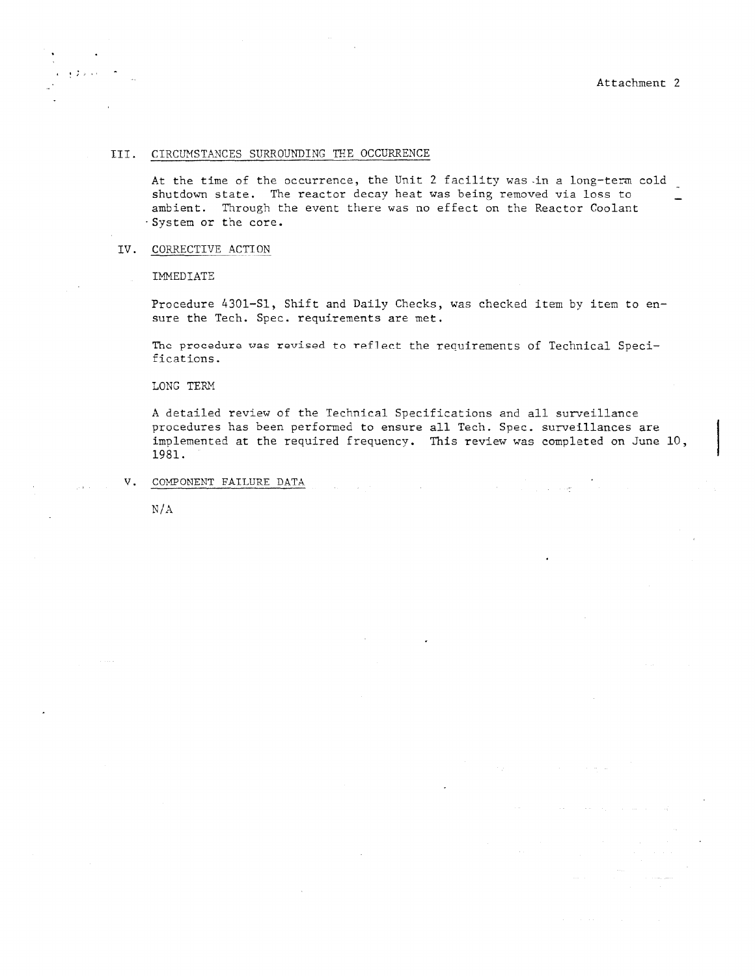#### III. CIRCUMSTANCES SURROUNDING THE OCCURRENCE

At the time of the occurrence, the Unit 2 facility was-in a long-term cold shutdown state. The reactor decay heat was being removed via loss to ambient. Through the event there was no effect on the Reactor Coolant System or the core. -

## IV. CORRECTIVE ACTION

IMMEDIATE

. , .

Procedure 4301-S1, Shift and Daily Checks, was checked item by item to ensure the Tech. Spec. requirements are met.

The procedure was revised to reflect the requirements of Technical Specifications.

LONG TERM

A detailed review of the Technical Specifications and all surveillance procedures has been performed to ensure all Tech. Spec. surveillances are implemented at the required frequency. This review was completed on June 10, 1981.

 $\sim$   $\sim$ 

 $\mathcal{L} = 1.18$ 

 $\sim 10^{-1}$  km

V. COMPONENT FAILURE DATA

N/A